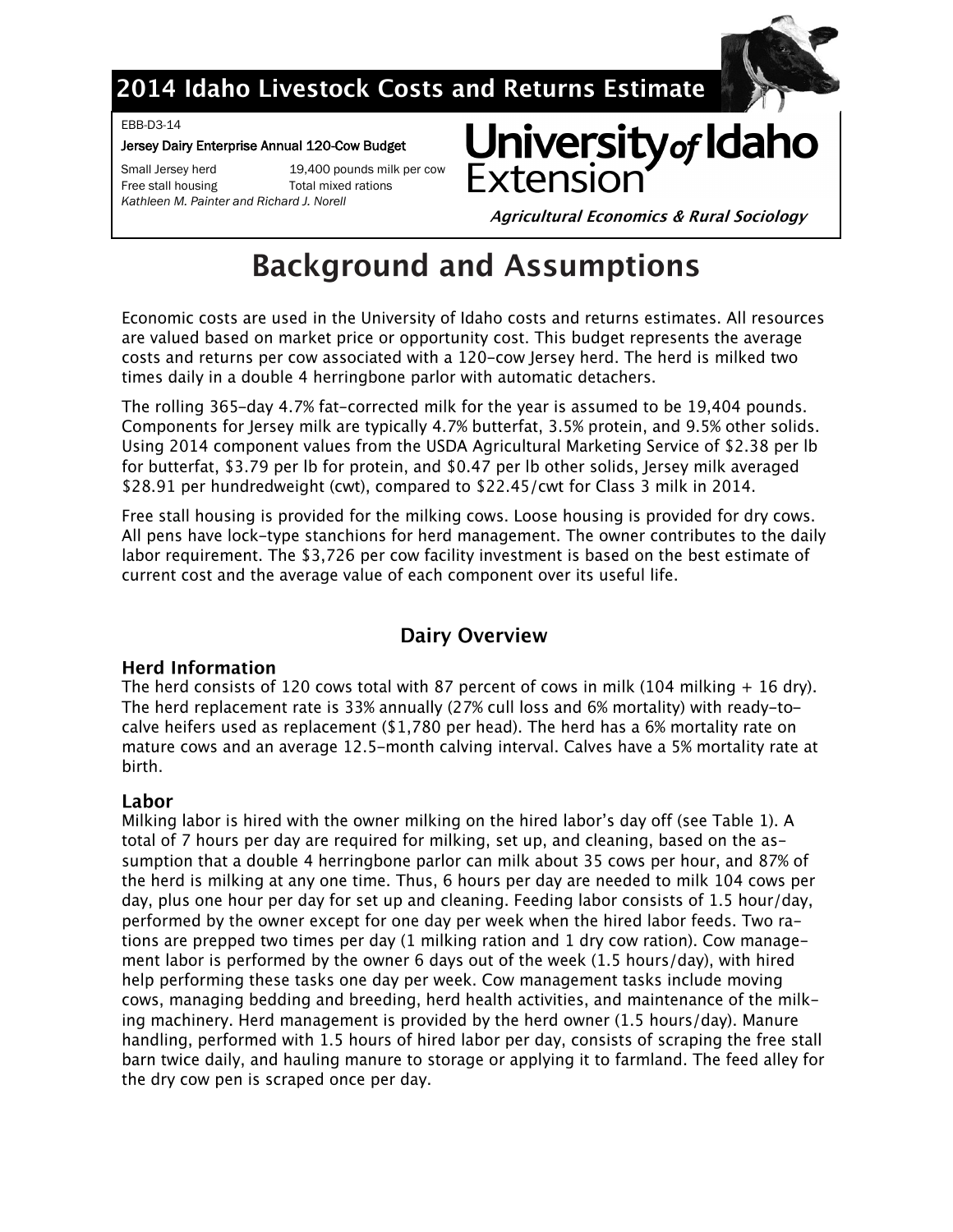

## 2014 Idaho Livestock Costs and Returns Estimate

EBB-D3-14

#### Jersey Dairy Enterprise Annual 120-Cow Budget

Small Jersey herd 19,400 pounds milk per cow Free stall housing Total mixed rations *Kathleen M. Painter and Richard J. Norell*

University of Idaho **Fxtensic** 

**Agricultural Economics & Rural Sociology** 

# **Background and Assumptions**

Economic costs are used in the University of Idaho costs and returns estimates. All resources are valued based on market price or opportunity cost. This budget represents the average costs and returns per cow associated with a 120-cow Jersey herd. The herd is milked two times daily in a double 4 herringbone parlor with automatic detachers.

The rolling 365-day 4.7% fat-corrected milk for the year is assumed to be 19,404 pounds. Components for Jersey milk are typically 4.7% butterfat, 3.5% protein, and 9.5% other solids. Using 2014 component values from the USDA Agricultural Marketing Service of \$2.38 per lb for butterfat, \$3.79 per lb for protein, and \$0.47 per lb other solids, Jersey milk averaged \$28.91 per hundredweight (cwt), compared to \$22.45/cwt for Class 3 milk in 2014.

Free stall housing is provided for the milking cows. Loose housing is provided for dry cows. All pens have lock-type stanchions for herd management. The owner contributes to the daily labor requirement. The \$3,726 per cow facility investment is based on the best estimate of current cost and the average value of each component over its useful life.

### **Dairy Overview**

### **Herd Information**

The herd consists of 120 cows total with 87 percent of cows in milk (104 milking  $+$  16 dry). The herd replacement rate is 33% annually (27% cull loss and 6% mortality) with ready-tocalve heifers used as replacement (\$1,780 per head). The herd has a 6% mortality rate on mature cows and an average 12.5-month calving interval. Calves have a 5% mortality rate at birth.

### Labor

Milking labor is hired with the owner milking on the hired labor's day off (see Table 1). A total of 7 hours per day are required for milking, set up, and cleaning, based on the assumption that a double 4 herringbone parlor can milk about 35 cows per hour, and 87% of the herd is milking at any one time. Thus, 6 hours per day are needed to milk 104 cows per day, plus one hour per day for set up and cleaning. Feeding labor consists of 1.5 hour/day, performed by the owner except for one day per week when the hired labor feeds. Two rations are prepped two times per day (1 milking ration and 1 dry cow ration). Cow management labor is performed by the owner 6 days out of the week (1.5 hours/day), with hired help performing these tasks one day per week. Cow management tasks include moving cows, managing bedding and breeding, herd health activities, and maintenance of the milking machinery. Herd management is provided by the herd owner (1.5 hours/day). Manure handling, performed with 1.5 hours of hired labor per day, consists of scraping the free stall barn twice daily, and hauling manure to storage or applying it to farmland. The feed alley for the dry cow pen is scraped once per day.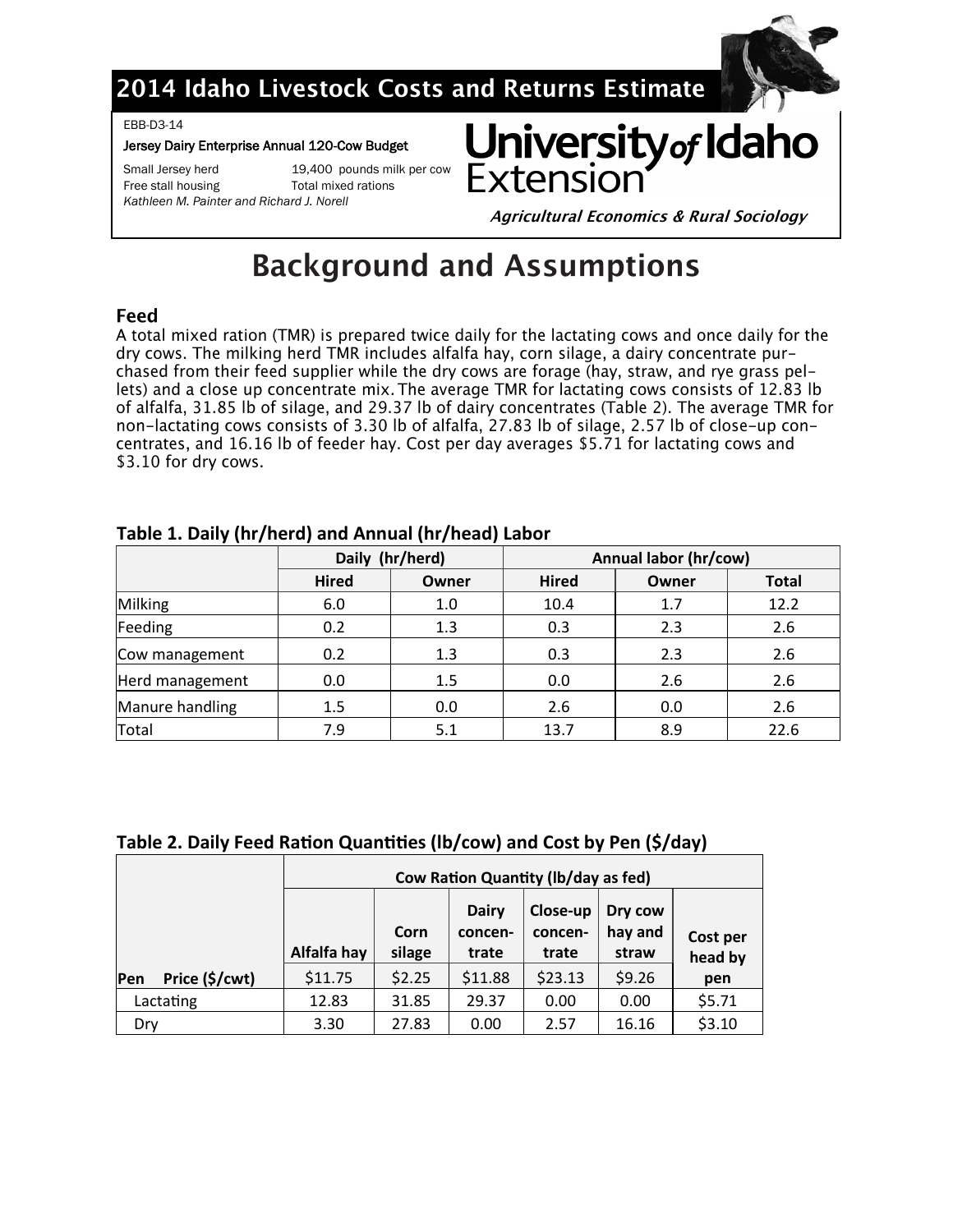

## 2014 Idaho Livestock Costs and Returns Estimate

EBB-D3-14

#### Jersey Dairy Enterprise Annual 120-Cow Budget

Free stall housing Total mixed rations

Small Jersey herd 19,400 pounds milk per cow

*Kathleen M. Painter and Richard J. Norell*



**Agricultural Economics & Rural Sociology** 

# **Background and Assumptions**

### Feed

A total mixed ration (TMR) is prepared twice daily for the lactating cows and once daily for the dry cows. The milking herd TMR includes alfalfa hay, corn silage, a dairy concentrate purchased from their feed supplier while the dry cows are forage (hay, straw, and rye grass pellets) and a close up concentrate mix. The average TMR for lactating cows consists of 12.83 lb of alfalfa, 31.85 lb of silage, and 29.37 lb of dairy concentrates (Table 2). The average TMR for non-lactating cows consists of 3.30 lb of alfalfa, 27.83 lb of silage, 2.57 lb of close-up concentrates, and 16.16 lb of feeder hay. Cost per day averages \$5.71 for lactating cows and \$3.10 for dry cows.

|                 |              | Daily (hr/herd) | Annual labor (hr/cow) |       |              |  |  |  |
|-----------------|--------------|-----------------|-----------------------|-------|--------------|--|--|--|
|                 | <b>Hired</b> | Owner           | <b>Hired</b>          | Owner | <b>Total</b> |  |  |  |
| Milking         | 6.0          | 1.0             | 10.4                  | 1.7   | 12.2         |  |  |  |
| Feeding         | 0.2          | 1.3             | 0.3                   | 2.3   | 2.6          |  |  |  |
| Cow management  | 0.2          | 1.3             | 0.3                   | 2.3   | 2.6          |  |  |  |
| Herd management | 0.0          | 1.5             | 0.0                   | 2.6   | 2.6          |  |  |  |
| Manure handling | 1.5          | 0.0             | 2.6                   | 0.0   | 2.6          |  |  |  |
| Total           | 7.9          | 5.1             | 13.7                  | 8.9   | 22.6         |  |  |  |

### **Table 1. Daily (hr/herd) and Annual (hr/head) Labor**

### **Table 2. Daily Feed Ration Quantities (lb/cow) and Cost by Pen (\$/day)**

|                       | <b>Cow Ration Quantity (Ib/day as fed)</b> |                                                                                                                   |         |         |        |                     |  |  |  |
|-----------------------|--------------------------------------------|-------------------------------------------------------------------------------------------------------------------|---------|---------|--------|---------------------|--|--|--|
|                       | Alfalfa hay                                | <b>Dairy</b><br>Close-up<br>Dry cow<br>hay and<br>Corn<br>concen-<br>concen-<br>silage<br>trate<br>trate<br>straw |         |         |        | Cost per<br>head by |  |  |  |
| Price (\$/cwt)<br>Pen | \$11.75                                    | \$2.25                                                                                                            | \$11.88 | \$23.13 | \$9.26 | pen                 |  |  |  |
| Lactating             | 12.83                                      | 31.85                                                                                                             | 29.37   | 0.00    | 0.00   | \$5.71              |  |  |  |
| Dry                   | 3.30                                       | 27.83                                                                                                             | 0.00    | 2.57    | 16.16  | \$3.10              |  |  |  |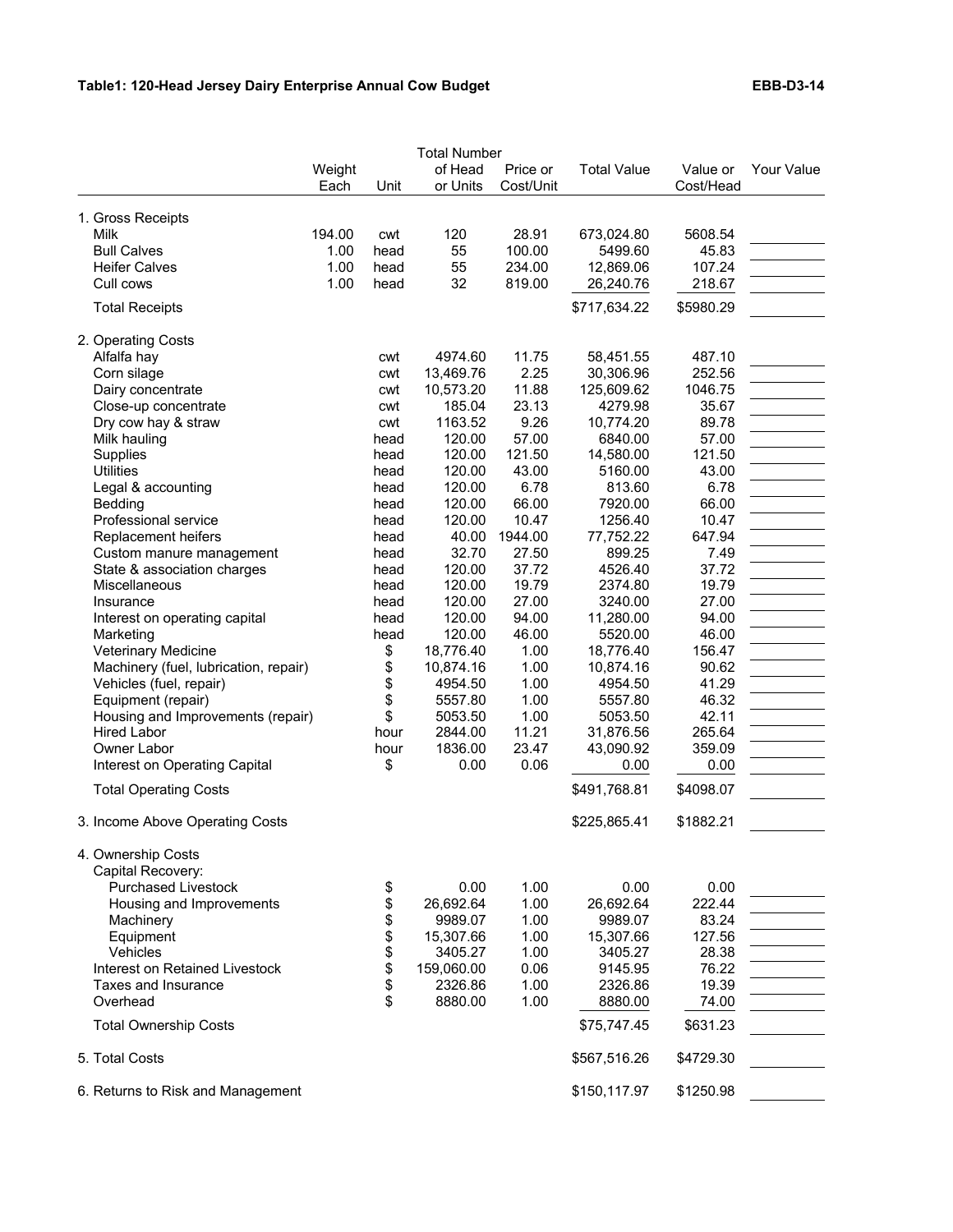|                                       |                |          | <b>Total Number</b> |                       |                    |                       |            |
|---------------------------------------|----------------|----------|---------------------|-----------------------|--------------------|-----------------------|------------|
|                                       | Weight<br>Each | Unit     | of Head<br>or Units | Price or<br>Cost/Unit | <b>Total Value</b> | Value or<br>Cost/Head | Your Value |
| 1. Gross Receipts                     |                |          |                     |                       |                    |                       |            |
| Milk                                  | 194.00         | cwt      | 120                 | 28.91                 | 673,024.80         | 5608.54               |            |
| <b>Bull Calves</b>                    | 1.00           | head     | 55                  | 100.00                | 5499.60            | 45.83                 |            |
| <b>Heifer Calves</b>                  | 1.00           | head     | 55                  | 234.00                | 12,869.06          | 107.24                |            |
| Cull cows                             | 1.00           | head     | 32                  | 819.00                | 26,240.76          | 218.67                |            |
| <b>Total Receipts</b>                 |                |          |                     |                       | \$717,634.22       | \$5980.29             |            |
| 2. Operating Costs                    |                |          |                     |                       |                    |                       |            |
| Alfalfa hay                           |                | cwt      | 4974.60             | 11.75                 | 58,451.55          | 487.10                |            |
| Corn silage                           |                | cwt      | 13,469.76           | 2.25                  | 30,306.96          | 252.56                |            |
| Dairy concentrate                     |                | cwt      | 10,573.20           | 11.88                 | 125,609.62         | 1046.75               |            |
| Close-up concentrate                  |                | cwt      | 185.04              | 23.13                 | 4279.98            | 35.67                 |            |
| Dry cow hay & straw                   |                | cwt      | 1163.52             | 9.26                  | 10,774.20          | 89.78                 |            |
| Milk hauling                          |                | head     | 120.00              | 57.00                 | 6840.00            | 57.00                 |            |
| Supplies                              |                | head     | 120.00              | 121.50                | 14,580.00          | 121.50                |            |
| <b>Utilities</b>                      |                | head     | 120.00              | 43.00                 | 5160.00            | 43.00                 |            |
| Legal & accounting                    |                | head     | 120.00              | 6.78                  | 813.60             | 6.78                  |            |
| Bedding                               |                | head     | 120.00              | 66.00                 | 7920.00            | 66.00                 |            |
| Professional service                  |                | head     | 120.00              | 10.47                 | 1256.40            | 10.47                 |            |
| Replacement heifers                   |                | head     | 40.00               | 1944.00               | 77,752.22          | 647.94                |            |
| Custom manure management              |                | head     | 32.70               | 27.50                 | 899.25             | 7.49                  |            |
| State & association charges           |                | head     | 120.00              | 37.72                 | 4526.40            | 37.72                 |            |
| Miscellaneous                         |                | head     | 120.00              | 19.79                 | 2374.80            | 19.79                 |            |
| Insurance                             |                | head     | 120.00              | 27.00                 | 3240.00            | 27.00                 |            |
| Interest on operating capital         |                | head     | 120.00              | 94.00                 | 11,280.00          | 94.00                 |            |
| Marketing                             |                | head     | 120.00              | 46.00                 | 5520.00            | 46.00                 |            |
| Veterinary Medicine                   |                | \$       | 18,776.40           | 1.00                  | 18,776.40          | 156.47                |            |
| Machinery (fuel, lubrication, repair) |                |          | 10,874.16           | 1.00                  | 10,874.16          | 90.62                 |            |
| Vehicles (fuel, repair)               |                | \$<br>\$ | 4954.50             | 1.00                  | 4954.50            | 41.29                 |            |
| Equipment (repair)                    |                | \$       | 5557.80             | 1.00                  | 5557.80            | 46.32                 |            |
| Housing and Improvements (repair)     |                | \$       | 5053.50             | 1.00                  | 5053.50            | 42.11                 |            |
| <b>Hired Labor</b>                    |                | hour     | 2844.00             | 11.21                 | 31,876.56          | 265.64                |            |
| Owner Labor                           |                | hour     | 1836.00             | 23.47                 | 43,090.92          | 359.09                |            |
| Interest on Operating Capital         |                | \$       | 0.00                | 0.06                  | 0.00               | 0.00                  |            |
| <b>Total Operating Costs</b>          |                |          |                     |                       | \$491,768.81       | \$4098.07             |            |
|                                       |                |          |                     |                       |                    |                       |            |
| 3. Income Above Operating Costs       |                |          |                     |                       | \$225,865.41       | \$1882.21             |            |
| 4. Ownership Costs                    |                |          |                     |                       |                    |                       |            |
| Capital Recovery:                     |                |          |                     |                       |                    |                       |            |
| Purchased Livestock                   |                | \$       | 0.00                | 1.00                  | 0.00               | 0.00                  |            |
| Housing and Improvements              |                | \$       | 26,692.64           | 1.00                  | 26,692.64          | 222.44                |            |
| Machinery                             |                | \$       | 9989.07             | 1.00                  | 9989.07            | 83.24                 |            |
| Equipment                             |                | \$       | 15,307.66           | 1.00                  | 15,307.66          | 127.56                |            |
| Vehicles                              |                | \$<br>\$ | 3405.27             | 1.00                  | 3405.27            | 28.38                 |            |
| Interest on Retained Livestock        |                |          | 159,060.00          | 0.06                  | 9145.95            | 76.22                 |            |
| Taxes and Insurance                   |                | \$       | 2326.86             | 1.00                  | 2326.86            | 19.39                 |            |
| Overhead                              |                | \$       | 8880.00             | 1.00                  | 8880.00            | 74.00                 |            |
| <b>Total Ownership Costs</b>          |                |          |                     |                       | \$75,747.45        | \$631.23              |            |
| 5. Total Costs                        |                |          |                     |                       | \$567,516.26       | \$4729.30             |            |
| 6. Returns to Risk and Management     |                |          |                     |                       | \$150,117.97       | \$1250.98             |            |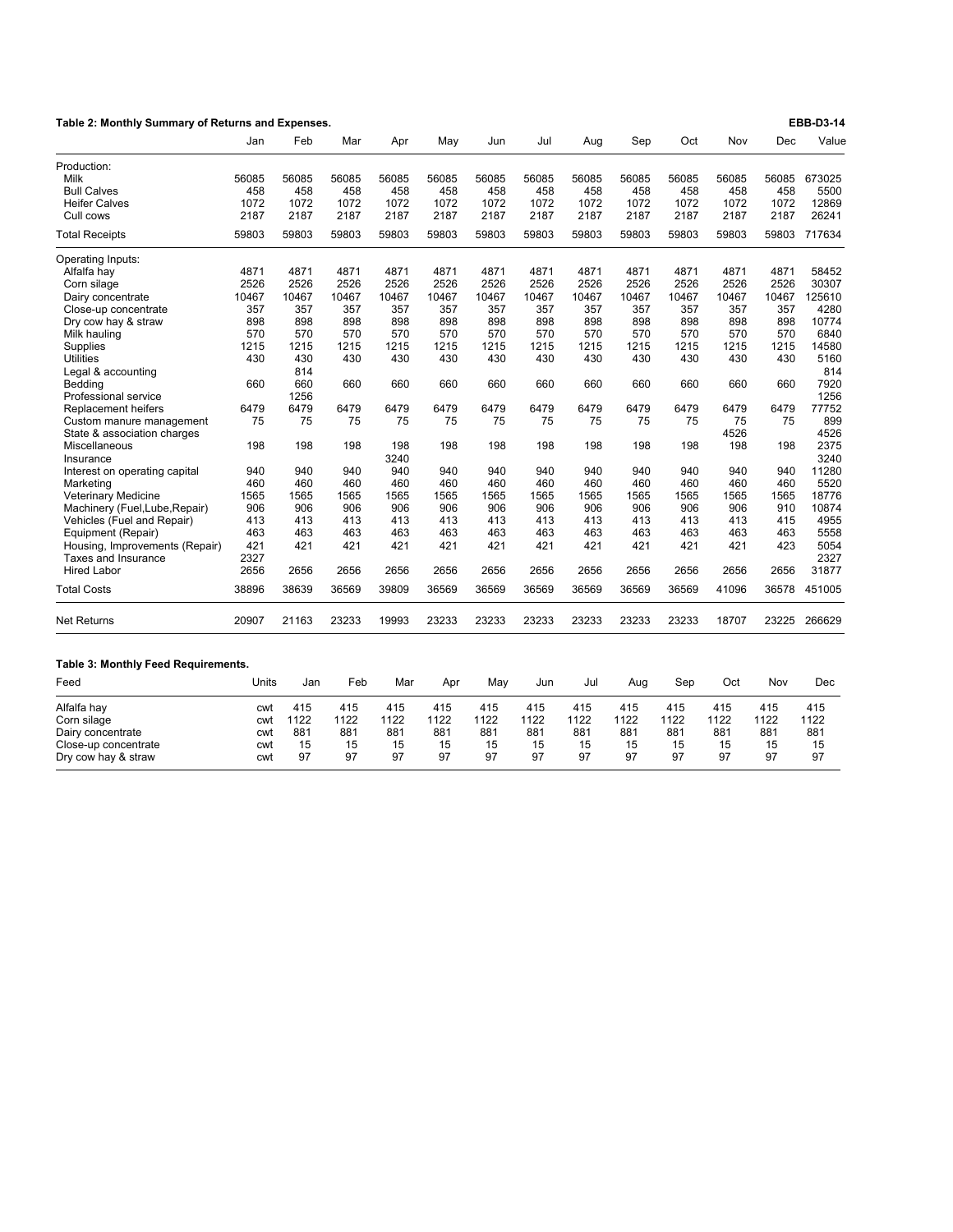| Table 2: Monthly Summary of Returns and Expenses. |       |       |       |       |       |       |       |       | EBB-D3-14 |       |       |       |        |
|---------------------------------------------------|-------|-------|-------|-------|-------|-------|-------|-------|-----------|-------|-------|-------|--------|
|                                                   | Jan   | Feb   | Mar   | Apr   | May   | Jun   | Jul   | Aug   | Sep       | Oct   | Nov   | Dec   | Value  |
| Production:                                       |       |       |       |       |       |       |       |       |           |       |       |       |        |
| Milk                                              | 56085 | 56085 | 56085 | 56085 | 56085 | 56085 | 56085 | 56085 | 56085     | 56085 | 56085 | 56085 | 673025 |
| <b>Bull Calves</b>                                | 458   | 458   | 458   | 458   | 458   | 458   | 458   | 458   | 458       | 458   | 458   | 458   | 5500   |
| <b>Heifer Calves</b>                              | 1072  | 1072  | 1072  | 1072  | 1072  | 1072  | 1072  | 1072  | 1072      | 1072  | 1072  | 1072  | 12869  |
| Cull cows                                         | 2187  | 2187  | 2187  | 2187  | 2187  | 2187  | 2187  | 2187  | 2187      | 2187  | 2187  | 2187  | 26241  |
| <b>Total Receipts</b>                             | 59803 | 59803 | 59803 | 59803 | 59803 | 59803 | 59803 | 59803 | 59803     | 59803 | 59803 | 59803 | 717634 |
| Operating Inputs:                                 |       |       |       |       |       |       |       |       |           |       |       |       |        |
| Alfalfa hay                                       | 4871  | 4871  | 4871  | 4871  | 4871  | 4871  | 4871  | 4871  | 4871      | 4871  | 4871  | 4871  | 58452  |
| Corn silage                                       | 2526  | 2526  | 2526  | 2526  | 2526  | 2526  | 2526  | 2526  | 2526      | 2526  | 2526  | 2526  | 30307  |
| Dairy concentrate                                 | 10467 | 10467 | 10467 | 10467 | 10467 | 10467 | 10467 | 10467 | 10467     | 10467 | 10467 | 10467 | 125610 |
| Close-up concentrate                              | 357   | 357   | 357   | 357   | 357   | 357   | 357   | 357   | 357       | 357   | 357   | 357   | 4280   |
| Dry cow hay & straw                               | 898   | 898   | 898   | 898   | 898   | 898   | 898   | 898   | 898       | 898   | 898   | 898   | 10774  |
| Milk hauling                                      | 570   | 570   | 570   | 570   | 570   | 570   | 570   | 570   | 570       | 570   | 570   | 570   | 6840   |
| Supplies                                          | 1215  | 1215  | 1215  | 1215  | 1215  | 1215  | 1215  | 1215  | 1215      | 1215  | 1215  | 1215  | 14580  |
| <b>Utilities</b>                                  | 430   | 430   | 430   | 430   | 430   | 430   | 430   | 430   | 430       | 430   | 430   | 430   | 5160   |
| Legal & accounting                                |       | 814   |       |       |       |       |       |       |           |       |       |       | 814    |
| Bedding                                           | 660   | 660   | 660   | 660   | 660   | 660   | 660   | 660   | 660       | 660   | 660   | 660   | 7920   |
| Professional service                              |       | 1256  |       |       |       |       |       |       |           |       |       |       | 1256   |
| Replacement heifers                               | 6479  | 6479  | 6479  | 6479  | 6479  | 6479  | 6479  | 6479  | 6479      | 6479  | 6479  | 6479  | 77752  |
| Custom manure management                          | 75    | 75    | 75    | 75    | 75    | 75    | 75    | 75    | 75        | 75    | 75    | 75    | 899    |
| State & association charges                       |       |       |       |       |       |       |       |       |           |       | 4526  |       | 4526   |
| Miscellaneous                                     | 198   | 198   | 198   | 198   | 198   | 198   | 198   | 198   | 198       | 198   | 198   | 198   | 2375   |
| Insurance                                         |       |       |       | 3240  |       |       |       |       |           |       |       |       | 3240   |
| Interest on operating capital                     | 940   | 940   | 940   | 940   | 940   | 940   | 940   | 940   | 940       | 940   | 940   | 940   | 11280  |
| Marketing                                         | 460   | 460   | 460   | 460   | 460   | 460   | 460   | 460   | 460       | 460   | 460   | 460   | 5520   |
| <b>Veterinary Medicine</b>                        | 1565  | 1565  | 1565  | 1565  | 1565  | 1565  | 1565  | 1565  | 1565      | 1565  | 1565  | 1565  | 18776  |
| Machinery (Fuel, Lube, Repair)                    | 906   | 906   | 906   | 906   | 906   | 906   | 906   | 906   | 906       | 906   | 906   | 910   | 10874  |
| Vehicles (Fuel and Repair)                        | 413   | 413   | 413   | 413   | 413   | 413   | 413   | 413   | 413       | 413   | 413   | 415   | 4955   |
| Equipment (Repair)                                | 463   | 463   | 463   | 463   | 463   | 463   | 463   | 463   | 463       | 463   | 463   | 463   | 5558   |
| Housing, Improvements (Repair)                    | 421   | 421   | 421   | 421   | 421   | 421   | 421   | 421   | 421       | 421   | 421   | 423   | 5054   |
| Taxes and Insurance                               | 2327  |       |       |       |       |       |       |       |           |       |       |       | 2327   |
| <b>Hired Labor</b>                                | 2656  | 2656  | 2656  | 2656  | 2656  | 2656  | 2656  | 2656  | 2656      | 2656  | 2656  | 2656  | 31877  |
| <b>Total Costs</b>                                | 38896 | 38639 | 36569 | 39809 | 36569 | 36569 | 36569 | 36569 | 36569     | 36569 | 41096 | 36578 | 451005 |
| Net Returns                                       | 20907 | 21163 | 23233 | 19993 | 23233 | 23233 | 23233 | 23233 | 23233     | 23233 | 18707 | 23225 | 266629 |
| Table 3: Monthly Feed Requirements.               |       |       |       |       |       |       |       |       |           |       |       |       |        |
| Feed                                              | Units | Jan   | Feb   | Mar   | Apr   | May   | Jun   | Jul   | Aug       | Sep   | Oct   | Nov   | Dec    |
|                                                   |       |       |       |       |       |       |       |       |           |       |       |       |        |
| Alfalfa hay                                       | cwt   | 415   | 415   | 415   | 415   | 415   | 415   | 415   | 415       | 415   | 415   | 415   | 415    |
| Corn silage                                       | cwt   | 1122  | 1122  | 1122  | 1122  | 1122  | 1122  | 1122  | 1122      | 1122  | 1122  | 1122  | 1122   |
| Dairy concentrate                                 | cwt   | 881   | 881   | 881   | 881   | 881   | 881   | 881   | 881       | 881   | 881   | 881   | 881    |
| Close-up concentrate                              | cwt   | 15    | 15    | 15    | 15    | 15    | 15    | 15    | 15        | 15    | 15    | 15    | 15     |
| Dry cow hay & straw                               | cwt   | 97    | 97    | 97    | 97    | 97    | 97    | 97    | 97        | 97    | 97    | 97    | 97     |